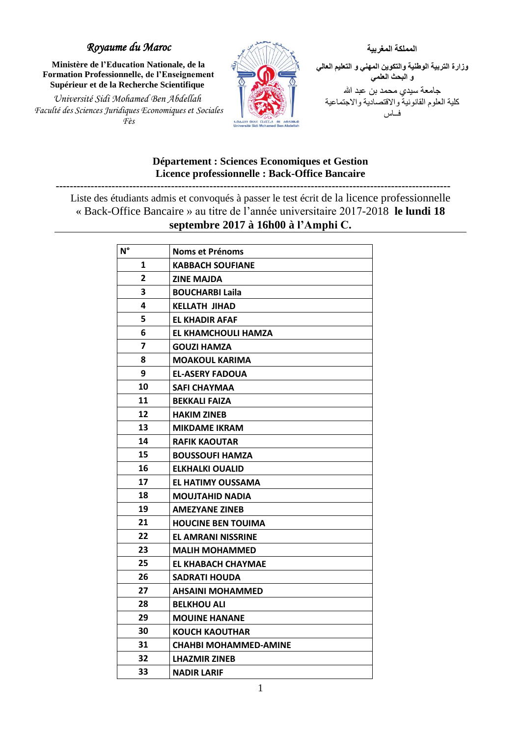## *Royaume du Maroc*

**Ministère de l'Education Nationale, de la Formation Professionnelle, de l'Enseignement Supérieur et de la Recherche Scientifique** 

*Université Sidi Mohamed Ben Abdellah Faculté des Sciences Juridiques Economiques et Sociales Fès* 



**المملكة المغربية وزارة التربية الوطنية والتكوين المهني و التعليم العالي و البحث العلمي** جامعة سيدي محمد بن عبد الله كلية العلوم القانونية واالقتصادية واالجتماعية فــاس

## **Département : Sciences Economiques et Gestion Licence professionnelle : Back-Office Bancaire**

**-----------------------------------------------------------------------------------------------------------------**

Liste des étudiants admis et convoqués à passer le test écrit de la licence professionnelle « Back-Office Bancaire » au titre de l'année universitaire 2017-2018 **le lundi 18 septembre 2017 à 16h00 à l'Amphi C.**

| $N^{\circ}$    | <b>Noms et Prénoms</b>       |
|----------------|------------------------------|
| 1              | <b>KABBACH SOUFIANE</b>      |
| $\overline{2}$ | <b>ZINE MAJDA</b>            |
| 3              | <b>BOUCHARBI Laila</b>       |
| 4              | <b>KELLATH JIHAD</b>         |
| 5              | <b>EL KHADIR AFAF</b>        |
| 6              | EL KHAMCHOULI HAMZA          |
| 7              | <b>GOUZI HAMZA</b>           |
| 8              | <b>MOAKOUL KARIMA</b>        |
| 9              | <b>EL-ASERY FADOUA</b>       |
| 10             | <b>SAFI CHAYMAA</b>          |
| 11             | <b>BEKKALI FAIZA</b>         |
| 12             | <b>HAKIM ZINEB</b>           |
| 13             | <b>MIKDAME IKRAM</b>         |
| 14             | <b>RAFIK KAOUTAR</b>         |
| 15             | <b>BOUSSOUFI HAMZA</b>       |
| 16             | ELKHALKI OUALID              |
| 17             | <b>EL HATIMY OUSSAMA</b>     |
| 18             | <b>MOUJTAHID NADIA</b>       |
| 19             | <b>AMEZYANE ZINEB</b>        |
| 21             | <b>HOUCINE BEN TOUIMA</b>    |
| 22             | <b>EL AMRANI NISSRINE</b>    |
| 23             | <b>MALIH MOHAMMED</b>        |
| 25             | EL KHABACH CHAYMAE           |
| 26             | <b>SADRATI HOUDA</b>         |
| 27             | <b>AHSAINI MOHAMMED</b>      |
| 28             | <b>BELKHOU ALI</b>           |
| 29             | <b>MOUINE HANANE</b>         |
| 30             | <b>KOUCH KAOUTHAR</b>        |
| 31             | <b>CHAHBI MOHAMMED-AMINE</b> |
| 32             | <b>LHAZMIR ZINEB</b>         |
| 33             | <b>NADIR LARIF</b>           |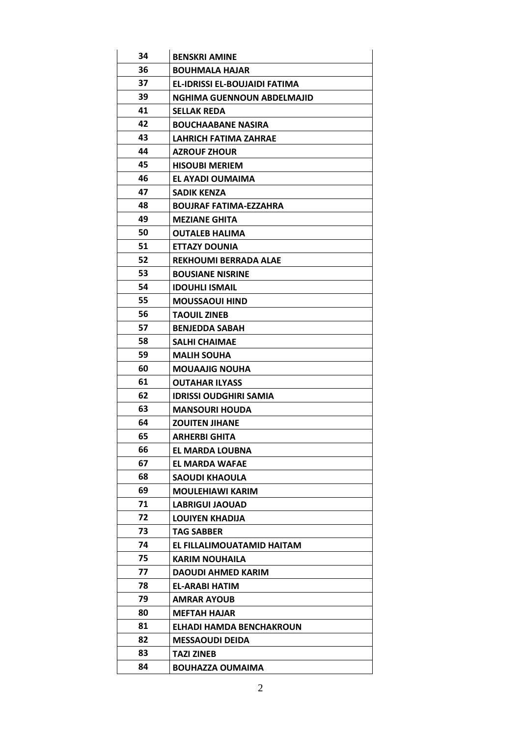| 34 | <b>BENSKRI AMINE</b>          |
|----|-------------------------------|
| 36 | <b>BOUHMALA HAJAR</b>         |
| 37 | EL-IDRISSI EL-BOUJAIDI FATIMA |
| 39 | NGHIMA GUENNOUN ABDELMAJID    |
| 41 | <b>SELLAK REDA</b>            |
| 42 | <b>BOUCHAABANE NASIRA</b>     |
| 43 | <b>LAHRICH FATIMA ZAHRAE</b>  |
| 44 | <b>AZROUF ZHOUR</b>           |
| 45 | <b>HISOUBI MERIEM</b>         |
| 46 | EL AYADI OUMAIMA              |
| 47 | <b>SADIK KENZA</b>            |
| 48 | <b>BOUJRAF FATIMA-EZZAHRA</b> |
| 49 | <b>MEZIANE GHITA</b>          |
| 50 | <b>OUTALEB HALIMA</b>         |
| 51 | <b>ETTAZY DOUNIA</b>          |
| 52 | <b>REKHOUMI BERRADA ALAE</b>  |
| 53 | <b>BOUSIANE NISRINE</b>       |
| 54 | <b>IDOUHLI ISMAIL</b>         |
| 55 | <b>MOUSSAOUI HIND</b>         |
| 56 | <b>TAOUIL ZINEB</b>           |
| 57 | <b>BENJEDDA SABAH</b>         |
| 58 | <b>SALHI CHAIMAE</b>          |
| 59 | <b>MALIH SOUHA</b>            |
| 60 | <b>MOUAAJIG NOUHA</b>         |
| 61 | <b>OUTAHAR ILYASS</b>         |
| 62 | <b>IDRISSI OUDGHIRI SAMIA</b> |
| 63 | <b>MANSOURI HOUDA</b>         |
| 64 | <b>ZOUITEN JIHANE</b>         |
| 65 | ARHERBI GHITA                 |
| 66 | EL MARDA LOUBNA               |
| 67 | <b>EL MARDA WAFAE</b>         |
| 68 | <b>SAOUDI KHAOULA</b>         |
| 69 | <b>MOULEHIAWI KARIM</b>       |
| 71 | <b>LABRIGUI JAOUAD</b>        |
| 72 | <b>LOUIYEN KHADIJA</b>        |
| 73 | <b>TAG SABBER</b>             |
| 74 | EL FILLALIMOUATAMID HAITAM    |
| 75 | <b>KARIM NOUHAILA</b>         |
| 77 | DAOUDI AHMED KARIM            |
| 78 | EL-ARABI HATIM                |
| 79 | <b>AMRAR AYOUB</b>            |
| 80 | <b>MEFTAH HAJAR</b>           |
| 81 | ELHADI HAMDA BENCHAKROUN      |
| 82 | <b>MESSAOUDI DEIDA</b>        |
| 83 | <b>TAZI ZINEB</b>             |
| 84 | <b>BOUHAZZA OUMAIMA</b>       |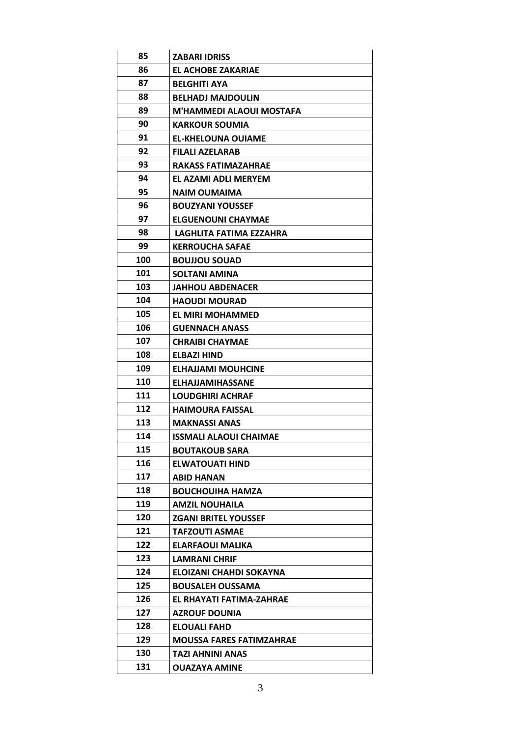| 85  | <b>ZABARI IDRISS</b>            |
|-----|---------------------------------|
| 86  | EL ACHOBE ZAKARIAE              |
| 87  | <b>BELGHITI AYA</b>             |
| 88  | <b>BELHADJ MAJDOULIN</b>        |
| 89  | M'HAMMEDI ALAOUI MOSTAFA        |
| 90  | <b>KARKOUR SOUMIA</b>           |
| 91  | <b>EL-KHELOUNA OUIAME</b>       |
| 92  | FILALI AZELARAB                 |
| 93  | <b>RAKASS FATIMAZAHRAE</b>      |
| 94  | EL AZAMI ADLI MERYEM            |
| 95  | <b>NAIM OUMAIMA</b>             |
| 96  | <b>BOUZYANI YOUSSEF</b>         |
| 97  | <b>ELGUENOUNI CHAYMAE</b>       |
| 98  | LAGHLITA FATIMA EZZAHRA         |
| 99  | <b>KERROUCHA SAFAE</b>          |
| 100 | <b>BOUJJOU SOUAD</b>            |
| 101 | <b>SOLTANI AMINA</b>            |
| 103 | <b>JAHHOU ABDENACER</b>         |
| 104 | <b>HAOUDI MOURAD</b>            |
| 105 | EL MIRI MOHAMMED                |
| 106 | <b>GUENNACH ANASS</b>           |
| 107 | <b>CHRAIBI CHAYMAE</b>          |
| 108 | ELBAZI HIND                     |
| 109 | <b>ELHAJJAMI MOUHCINE</b>       |
| 110 | <b>ELHAJJAMIHASSANE</b>         |
| 111 | <b>LOUDGHIRI ACHRAF</b>         |
| 112 | <b>HAIMOURA FAISSAL</b>         |
| 113 | <b>MAKNASSI ANAS</b>            |
| 114 | <b>ISSMALI ALAOUI CHAIMAE</b>   |
| 115 | <b>BOUTAKOUB SARA</b>           |
| 116 | <b>ELWATOUATI HIND</b>          |
| 117 | <b>ABID HANAN</b>               |
| 118 | <b>BOUCHOUIHA HAMZA</b>         |
| 119 | <b>AMZIL NOUHAILA</b>           |
| 120 | <b>ZGANI BRITEL YOUSSEF</b>     |
| 121 | <b>TAFZOUTI ASMAE</b>           |
| 122 | ELARFAOUI MALIKA                |
| 123 | <b>LAMRANI CHRIF</b>            |
| 124 | ELOIZANI CHAHDI SOKAYNA         |
| 125 | <b>BOUSALEH OUSSAMA</b>         |
| 126 | EL RHAYATI FATIMA-ZAHRAE        |
| 127 | <b>AZROUF DOUNIA</b>            |
| 128 | ELOUALI FAHD                    |
| 129 | <b>MOUSSA FARES FATIMZAHRAE</b> |
| 130 | <b>TAZI AHNINI ANAS</b>         |
| 131 | <b>OUAZAYA AMINE</b>            |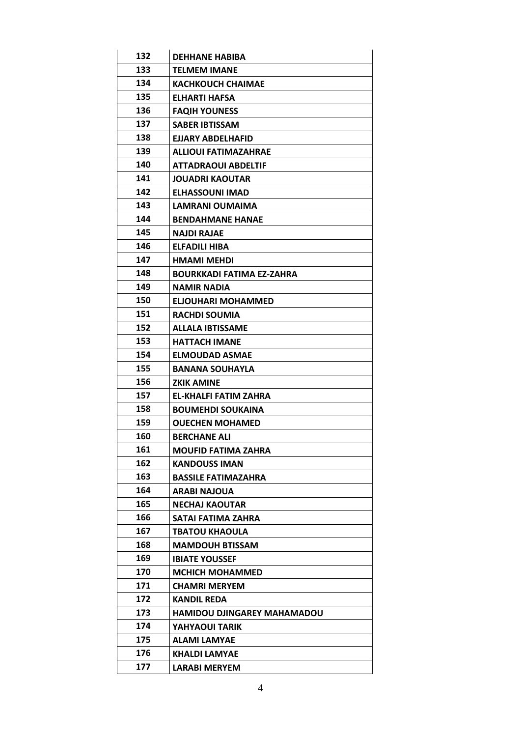| 132 | <b>DEHHANE HABIBA</b>              |
|-----|------------------------------------|
| 133 | <b>TELMEM IMANE</b>                |
| 134 | <b>KACHKOUCH CHAIMAE</b>           |
| 135 | ELHARTI HAFSA                      |
| 136 | <b>FAQIH YOUNESS</b>               |
| 137 | SABER IBTISSAM                     |
| 138 | EJJARY ABDELHAFID                  |
| 139 | ALLIOUI FATIMAZAHRAE               |
| 140 | ATTADRAOUI ABDELTIF                |
| 141 | <b>JOUADRI KAOUTAR</b>             |
| 142 | <b>ELHASSOUNI IMAD</b>             |
| 143 | LAMRANI OUMAIMA                    |
| 144 | <b>BENDAHMANE HANAE</b>            |
| 145 | <b>NAJDI RAJAE</b>                 |
| 146 | ELFADILI HIBA                      |
| 147 | <b>HMAMI MEHDI</b>                 |
| 148 | <b>BOURKKADI FATIMA EZ-ZAHRA</b>   |
| 149 | NAMIR NADIA                        |
| 150 | ELJOUHARI MOHAMMED                 |
| 151 | <b>RACHDI SOUMIA</b>               |
| 152 | <b>ALLALA IBTISSAME</b>            |
| 153 | <b>HATTACH IMANE</b>               |
| 154 | <b>ELMOUDAD ASMAE</b>              |
| 155 | <b>BANANA SOUHAYLA</b>             |
| 156 | ZKIK AMINE                         |
| 157 | <b>EL-KHALFI FATIM ZAHRA</b>       |
| 158 | <b>BOUMEHDI SOUKAINA</b>           |
| 159 | <b>OUECHEN MOHAMED</b>             |
| 160 | <b>BERCHANE ALI</b>                |
| 161 | <b>MOUFID FATIMA ZAHRA</b>         |
| 162 | <b>KANDOUSS IMAN</b>               |
| 163 | <b>BASSILE FATIMAZAHRA</b>         |
| 164 | <b>ARABI NAJOUA</b>                |
| 165 | <b>NECHAJ KAOUTAR</b>              |
| 166 | SATAI FATIMA ZAHRA                 |
| 167 | <b>TBATOU KHAOULA</b>              |
| 168 | <b>MAMDOUH BTISSAM</b>             |
| 169 | <b>IBIATE YOUSSEF</b>              |
| 170 | <b>MCHICH MOHAMMED</b>             |
| 171 | <b>CHAMRI MERYEM</b>               |
| 172 | <b>KANDIL REDA</b>                 |
| 173 | <b>HAMIDOU DJINGAREY MAHAMADOU</b> |
| 174 | YAHYAOUI TARIK                     |
| 175 | <b>ALAMI LAMYAE</b>                |
| 176 | KHALDI LAMYAE                      |
| 177 | <b>LARABI MERYEM</b>               |
|     |                                    |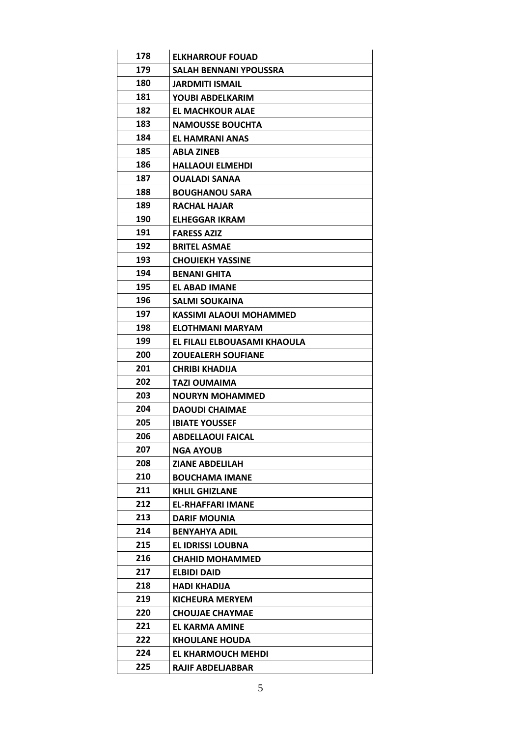| 178 | <b>ELKHARROUF FOUAD</b>        |
|-----|--------------------------------|
| 179 | SALAH BENNANI YPOUSSRA         |
| 180 | JARDMITI ISMAIL                |
| 181 | YOUBI ABDELKARIM               |
| 182 | <b>EL MACHKOUR ALAE</b>        |
| 183 | <b>NAMOUSSE BOUCHTA</b>        |
| 184 | EL HAMRANI ANAS                |
| 185 | <b>ABLA ZINEB</b>              |
| 186 | <b>HALLAOUI ELMEHDI</b>        |
| 187 | <b>OUALADI SANAA</b>           |
| 188 | <b>BOUGHANOU SARA</b>          |
| 189 | <b>RACHAL HAJAR</b>            |
| 190 | ELHEGGAR IKRAM                 |
| 191 | <b>FARESS AZIZ</b>             |
| 192 | <b>BRITEL ASMAE</b>            |
| 193 | <b>CHOUIEKH YASSINE</b>        |
| 194 | <b>BENANI GHITA</b>            |
| 195 | EL ABAD IMANE                  |
| 196 | <b>SALMI SOUKAINA</b>          |
| 197 | <b>KASSIMI ALAOUI MOHAMMED</b> |
| 198 | ELOTHMANI MARYAM               |
| 199 | EL FILALI ELBOUASAMI KHAOULA   |
| 200 | <b>ZOUEALERH SOUFIANE</b>      |
| 201 | <b>CHRIBI KHADIJA</b>          |
| 202 | TAZI OUMAIMA                   |
| 203 | <b>NOURYN MOHAMMED</b>         |
| 204 | <b>DAOUDI CHAIMAE</b>          |
|     |                                |
| 205 | <b>IBIATE YOUSSEF</b>          |
| 206 | <b>ABDELLAOUI FAICAL</b>       |
| 207 | <b>NGA AYOUB</b>               |
| 208 | <b>ZIANE ABDELILAH</b>         |
| 210 | <b>BOUCHAMA IMANE</b>          |
| 211 | <b>KHLIL GHIZLANE</b>          |
| 212 | <b>EL-RHAFFARI IMANE</b>       |
| 213 | <b>DARIF MOUNIA</b>            |
| 214 | <b>BENYAHYA ADIL</b>           |
| 215 | <b>EL IDRISSI LOUBNA</b>       |
| 216 | <b>CHAHID MOHAMMED</b>         |
| 217 | ELBIDI DAID                    |
| 218 | <b>HADI KHADIJA</b>            |
| 219 | <b>KICHEURA MERYEM</b>         |
| 220 | <b>CHOUJAE CHAYMAE</b>         |
| 221 | <b>EL KARMA AMINE</b>          |
| 222 | <b>KHOULANE HOUDA</b>          |
| 224 | EL KHARMOUCH MEHDI             |